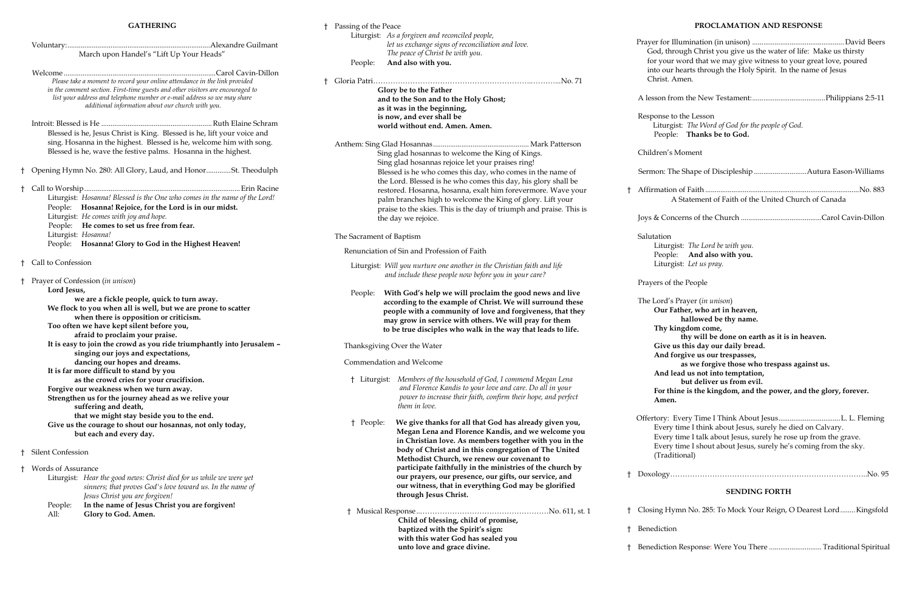#### **GATHERING**

|                                                                                                                                                              |                                                                 |                          | Liturgist: As a forgiven and reconciled people,                         |              |
|--------------------------------------------------------------------------------------------------------------------------------------------------------------|-----------------------------------------------------------------|--------------------------|-------------------------------------------------------------------------|--------------|
|                                                                                                                                                              |                                                                 |                          | let us exchange signs of reconciliation and love.                       | Prayer for   |
| March upon Handel's "Lift Up Your Heads"                                                                                                                     |                                                                 |                          | The peace of Christ be with you.                                        | God, th      |
|                                                                                                                                                              |                                                                 | People:                  | And also with you.                                                      | for you      |
|                                                                                                                                                              |                                                                 |                          |                                                                         | into ou      |
|                                                                                                                                                              |                                                                 |                          |                                                                         | Christ.      |
| Please take a moment to record your online attendance in the link provided<br>in the comment section. First-time guests and other visitors are encouraged to |                                                                 |                          |                                                                         |              |
|                                                                                                                                                              |                                                                 |                          | Glory be to the Father                                                  | A lesson f   |
| list your address and telephone number or e-mail address so we may share<br>additional information about our church with you.                                |                                                                 |                          | and to the Son and to the Holy Ghost;                                   |              |
|                                                                                                                                                              |                                                                 |                          | as it was in the beginning,                                             |              |
|                                                                                                                                                              |                                                                 |                          | is now, and ever shall be                                               | Response     |
|                                                                                                                                                              |                                                                 |                          | world without end. Amen. Amen.                                          | Liturg       |
| Blessed is he, Jesus Christ is King. Blessed is he, lift your voice and                                                                                      |                                                                 |                          |                                                                         | Peop         |
| sing. Hosanna in the highest. Blessed is he, welcome him with song.                                                                                          |                                                                 |                          |                                                                         |              |
| Blessed is he, wave the festive palms. Hosanna in the highest.                                                                                               |                                                                 |                          | Sing glad hosannas to welcome the King of Kings.                        | Children's   |
|                                                                                                                                                              |                                                                 |                          | Sing glad hosannas rejoice let your praises ring!                       |              |
|                                                                                                                                                              | † Opening Hymn No. 280: All Glory, Laud, and HonorSt. Theodulph |                          | Blessed is he who comes this day, who comes in the name of              | Sermon: T    |
|                                                                                                                                                              |                                                                 |                          | the Lord. Blessed is he who comes this day, his glory shall be          |              |
|                                                                                                                                                              |                                                                 |                          |                                                                         |              |
| Liturgist: Hosanna! Blessed is the One who comes in the name of the Lord!<br>People: Hosanna! Rejoice, for the Lord is in our midst.                         |                                                                 |                          | restored. Hosanna, hosanna, exalt him forevermore. Wave your            | † Affirmatic |
|                                                                                                                                                              |                                                                 |                          | palm branches high to welcome the King of glory. Lift your              |              |
|                                                                                                                                                              |                                                                 |                          | praise to the skies. This is the day of triumph and praise. This is     |              |
| Liturgist: He comes with joy and hope.                                                                                                                       |                                                                 |                          | the day we rejoice.                                                     | Joys & Co    |
| People: He comes to set us free from fear.                                                                                                                   |                                                                 |                          |                                                                         |              |
| Liturgist: Hosanna!                                                                                                                                          |                                                                 | The Sacrament of Baptism |                                                                         | Salutation   |
| People: Hosanna! Glory to God in the Highest Heaven!                                                                                                         |                                                                 |                          |                                                                         | Litur        |
|                                                                                                                                                              |                                                                 |                          | Renunciation of Sin and Profession of Faith                             | Peop         |
| † Call to Confession                                                                                                                                         |                                                                 |                          |                                                                         | Litur        |
|                                                                                                                                                              |                                                                 |                          | Liturgist: Will you nurture one another in the Christian faith and life |              |
| † Prayer of Confession (in unison)                                                                                                                           |                                                                 |                          | and include these people now before you in your care?                   |              |
|                                                                                                                                                              |                                                                 |                          |                                                                         | Prayers of   |
| Lord Jesus,                                                                                                                                                  |                                                                 | People:                  | With God's help we will proclaim the good news and live                 |              |
| we are a fickle people, quick to turn away.                                                                                                                  |                                                                 |                          | according to the example of Christ. We will surround these              | The Lord's   |
| We flock to you when all is well, but we are prone to scatter                                                                                                |                                                                 |                          | people with a community of love and forgiveness, that they              | Our l        |
| when there is opposition or criticism.                                                                                                                       |                                                                 |                          | may grow in service with others. We will pray for them                  |              |
| Too often we have kept silent before you,                                                                                                                    |                                                                 |                          | to be true disciples who walk in the way that leads to life.            | Thy 1        |
| afraid to proclaim your praise.                                                                                                                              |                                                                 |                          |                                                                         |              |
| It is easy to join the crowd as you ride triumphantly into Jerusalem -                                                                                       |                                                                 |                          | Thanksgiving Over the Water                                             | Give         |
| singing our joys and expectations,                                                                                                                           |                                                                 |                          |                                                                         | And          |
| dancing our hopes and dreams.                                                                                                                                |                                                                 |                          | Commendation and Welcome                                                |              |
| It is far more difficult to stand by you                                                                                                                     |                                                                 |                          |                                                                         | And          |
| as the crowd cries for your crucifixion.                                                                                                                     |                                                                 |                          | Liturgist: Members of the household of God, I commend Megan Lena        |              |
| Forgive our weakness when we turn away.                                                                                                                      |                                                                 |                          | and Florence Kandis to your love and care. Do all in your               | For tl       |
| Strengthen us for the journey ahead as we relive your                                                                                                        |                                                                 |                          | power to increase their faith, confirm their hope, and perfect          |              |
| suffering and death,                                                                                                                                         |                                                                 |                          | them in love.                                                           | Amer         |
|                                                                                                                                                              |                                                                 |                          |                                                                         |              |
| that we might stay beside you to the end.                                                                                                                    |                                                                 | † People:                | We give thanks for all that God has already given you,                  | Offertory:   |
| Give us the courage to shout our hosannas, not only today,                                                                                                   |                                                                 |                          | Megan Lena and Florence Kandis, and we welcome you                      | Every        |
| but each and every day.                                                                                                                                      |                                                                 |                          | in Christian love. As members together with you in the                  | Every        |
|                                                                                                                                                              |                                                                 |                          |                                                                         | Every        |
| <b>Silent Confession</b>                                                                                                                                     |                                                                 |                          | body of Christ and in this congregation of The United                   | (Trad        |
|                                                                                                                                                              |                                                                 |                          | Methodist Church, we renew our covenant to                              |              |
| † Words of Assurance                                                                                                                                         |                                                                 |                          | participate faithfully in the ministries of the church by               |              |
| Liturgist: Hear the good news: Christ died for us while we were yet                                                                                          |                                                                 |                          | our prayers, our presence, our gifts, our service, and                  | Doxology     |
| sinners; that proves God's love toward us. In the name of                                                                                                    |                                                                 |                          | our witness, that in everything God may be glorified                    |              |
| Jesus Christ you are forgiven!                                                                                                                               |                                                                 |                          | through Jesus Christ.                                                   |              |
| In the name of Jesus Christ you are forgiven!<br>People:                                                                                                     |                                                                 |                          |                                                                         |              |
| Glory to God. Amen.<br>All:                                                                                                                                  |                                                                 |                          |                                                                         | Closing H    |
|                                                                                                                                                              |                                                                 |                          | Child of blessing, child of promise,                                    |              |
|                                                                                                                                                              |                                                                 |                          | baptized with the Spirit's sign:                                        | Benedictic   |

† Passing of the Peace

| God, through Christ you give us the water of life: Make us thirsty<br>for your word that we may give witness to your great love, poured<br>into our hearts through the Holy Spirit. In the name of Jesus<br>Christ. Amen.                                                                                                                                                                                                          |
|------------------------------------------------------------------------------------------------------------------------------------------------------------------------------------------------------------------------------------------------------------------------------------------------------------------------------------------------------------------------------------------------------------------------------------|
|                                                                                                                                                                                                                                                                                                                                                                                                                                    |
| esponse to the Lesson<br>Liturgist: The Word of God for the people of God.<br>People: Thanks be to God.                                                                                                                                                                                                                                                                                                                            |
| hildren's Moment                                                                                                                                                                                                                                                                                                                                                                                                                   |
| ermon: The Shape of Discipleship Autura Eason-Williams                                                                                                                                                                                                                                                                                                                                                                             |
| A Statement of Faith of the United Church of Canada                                                                                                                                                                                                                                                                                                                                                                                |
|                                                                                                                                                                                                                                                                                                                                                                                                                                    |
| alutation<br>Liturgist: The Lord be with you.<br>People: And also with you.<br>Liturgist: Let us pray.                                                                                                                                                                                                                                                                                                                             |
| rayers of the People                                                                                                                                                                                                                                                                                                                                                                                                               |
| he Lord's Prayer (in unison)<br>Our Father, who art in heaven,<br>hallowed be thy name.<br>Thy kingdom come,<br>thy will be done on earth as it is in heaven.<br>Give us this day our daily bread.<br>And forgive us our trespasses,<br>as we forgive those who trespass against us.<br>And lead us not into temptation,<br>but deliver us from evil.<br>For thine is the kingdom, and the power, and the glory, forever.<br>Amen. |
| Every time I think about Jesus, surely he died on Calvary.<br>Every time I talk about Jesus, surely he rose up from the grave.<br>Every time I shout about Jesus, surely he's coming from the sky.<br>(Traditional)                                                                                                                                                                                                                |
|                                                                                                                                                                                                                                                                                                                                                                                                                                    |

 **with this water God has sealed you unto love and grace divine.**

# **PROCLAMATION AND RESPONSE**

# **SENDING FORTH**

† Closing Hymn No. 285: To Mock Your Reign, O Dearest Lord........Kingsfold

enediction

† Benediction Response: Were You There ............................ Traditional Spiritual